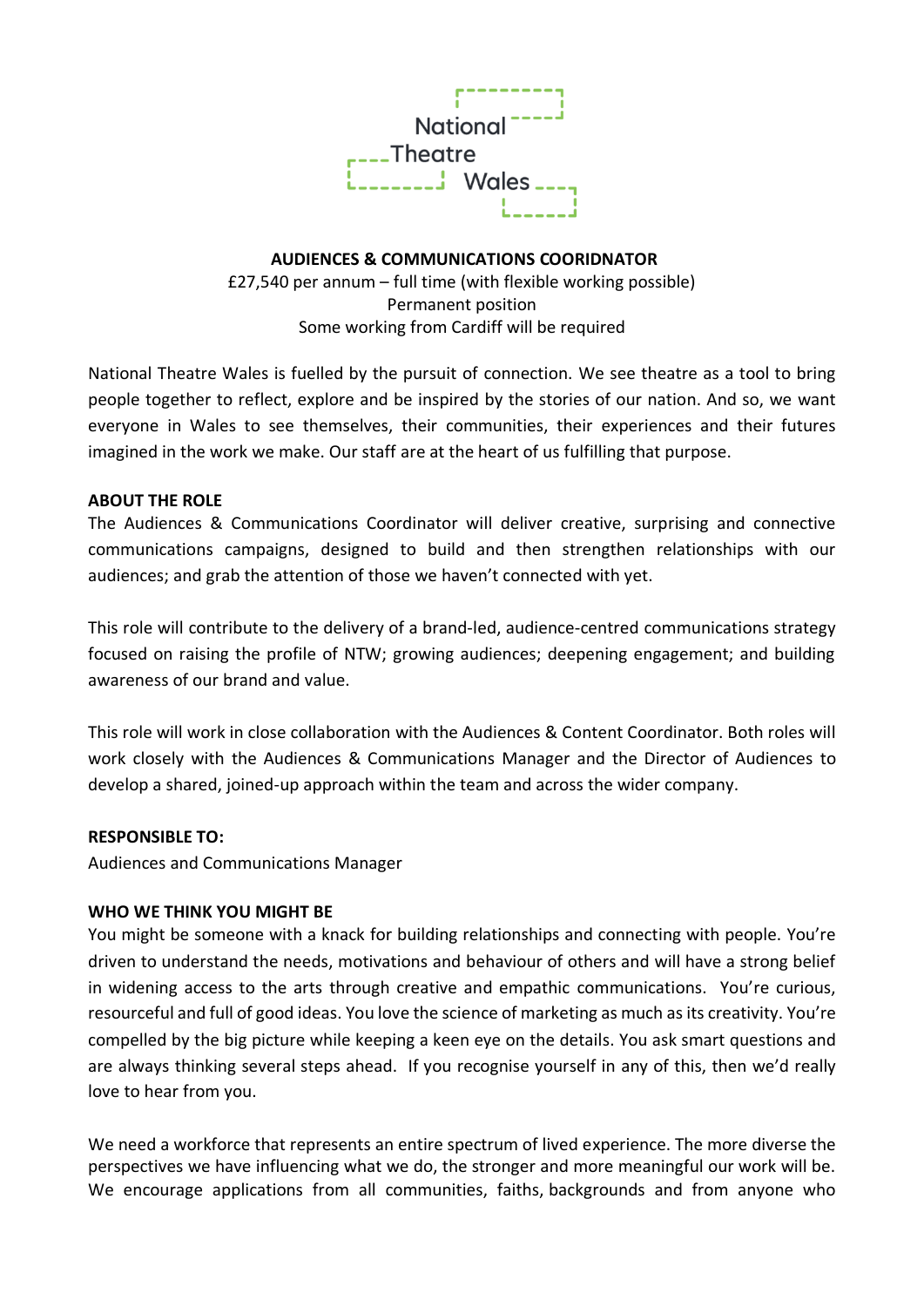

**AUDIENCES & COMMUNICATIONS COORIDNATOR** £27,540 per annum – full time (with flexible working possible) Permanent position Some working from Cardiff will be required

National Theatre Wales is fuelled by the pursuit of connection. We see theatre as a tool to bring people together to reflect, explore and be inspired by the stories of our nation. And so, we want everyone in Wales to see themselves, their communities, their experiences and their futures imagined in the work we make. Our staff are at the heart of us fulfilling that purpose.

### **ABOUT THE ROLE**

The Audiences & Communications Coordinator will deliver creative, surprising and connective communications campaigns, designed to build and then strengthen relationships with our audiences; and grab the attention of those we haven't connected with yet.

This role will contribute to the delivery of a brand-led, audience-centred communications strategy focused on raising the profile of NTW; growing audiences; deepening engagement; and building awareness of our brand and value.

This role will work in close collaboration with the Audiences & Content Coordinator. Both roles will work closely with the Audiences & Communications Manager and the Director of Audiences to develop a shared, joined-up approach within the team and across the wider company.

### **RESPONSIBLE TO:**

Audiences and Communications Manager

### **WHO WE THINK YOU MIGHT BE**

You might be someone with a knack for building relationships and connecting with people. You're driven to understand the needs, motivations and behaviour of others and will have a strong belief in widening access to the arts through creative and empathic communications. You're curious, resourceful and full of good ideas. You love the science of marketing as much as its creativity. You're compelled by the big picture while keeping a keen eye on the details. You ask smart questions and are always thinking several steps ahead. If you recognise yourself in any of this, then we'd really love to hear from you.

We need a workforce that represents an entire spectrum of lived experience. The more diverse the perspectives we have influencing what we do, the stronger and more meaningful our work will be. We encourage applications from all communities, faiths, backgrounds and from anyone who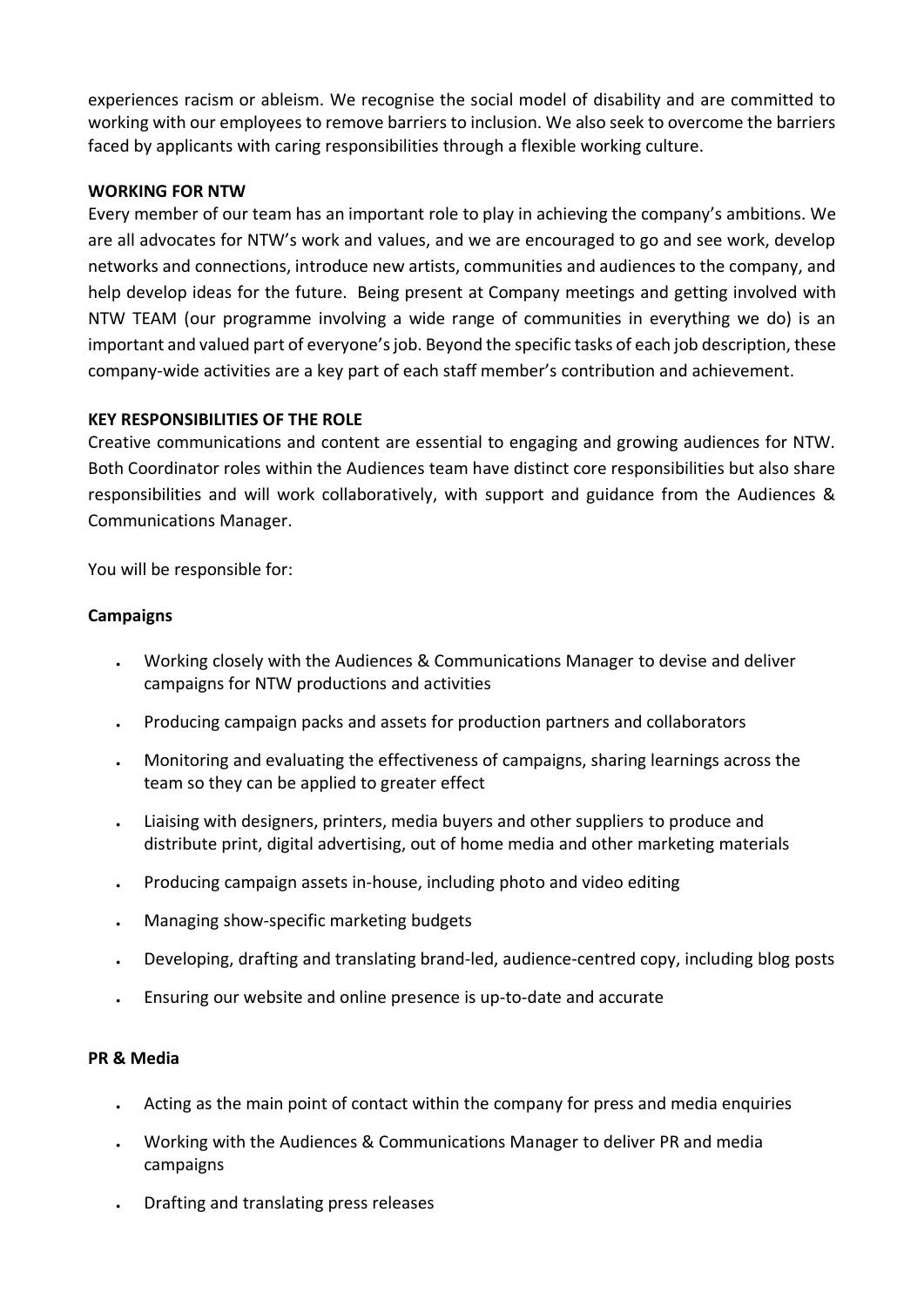experiences racism or ableism. We recognise the social model of disability and are committed to working with our employees to remove barriers to inclusion. We also seek to overcome the barriers faced by applicants with caring responsibilities through a flexible working culture.

# **WORKING FOR NTW**

Every member of our team has an important role to play in achieving the company's ambitions. We are all advocates for NTW's work and values, and we are encouraged to go and see work, develop networks and connections, introduce new artists, communities and audiences to the company, and help develop ideas for the future. Being present at Company meetings and getting involved with NTW TEAM (our programme involving a wide range of communities in everything we do) is an important and valued part of everyone's job. Beyond the specific tasks of each job description, these company-wide activities are a key part of each staff member's contribution and achievement.

### **KEY RESPONSIBILITIES OF THE ROLE**

Creative communications and content are essential to engaging and growing audiences for NTW. Both Coordinator roles within the Audiences team have distinct core responsibilities but also share responsibilities and will work collaboratively, with support and guidance from the Audiences & Communications Manager.

You will be responsible for:

### **Campaigns**

- Working closely with the Audiences & Communications Manager to devise and deliver campaigns for NTW productions and activities
- Producing campaign packs and assets for production partners and collaborators
- Monitoring and evaluating the effectiveness of campaigns, sharing learnings across the team so they can be applied to greater effect
- Liaising with designers, printers, media buyers and other suppliers to produce and distribute print, digital advertising, out of home media and other marketing materials
- Producing campaign assets in-house, including photo and video editing
- Managing show-specific marketing budgets
- Developing, drafting and translating brand-led, audience-centred copy, including blog posts
- Ensuring our website and online presence is up-to-date and accurate

### **PR & Media**

- Acting as the main point of contact within the company for press and media enquiries
- Working with the Audiences & Communications Manager to deliver PR and media campaigns
- Drafting and translating press releases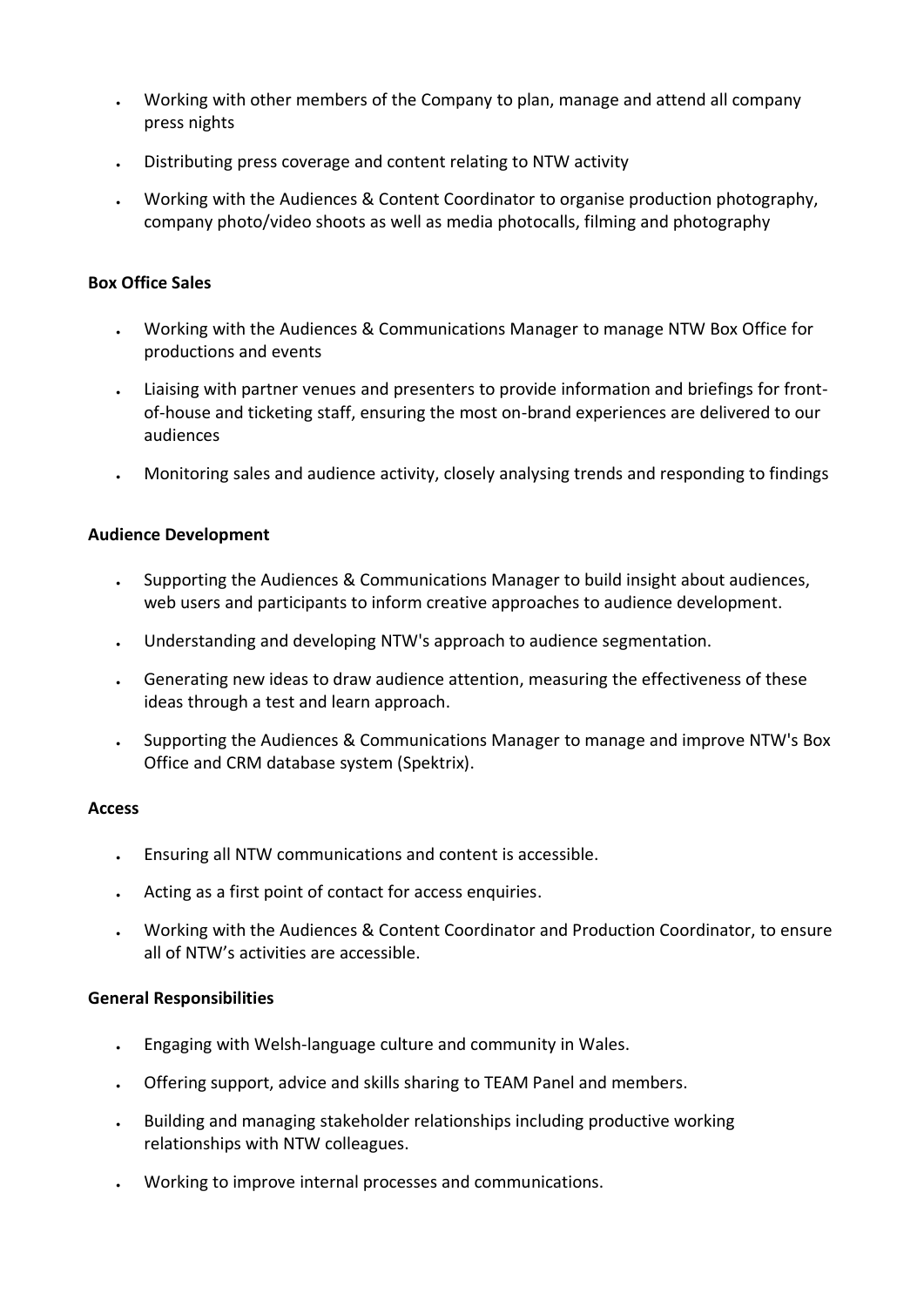- Working with other members of the Company to plan, manage and attend all company press nights
- Distributing press coverage and content relating to NTW activity
- Working with the Audiences & Content Coordinator to organise production photography, company photo/video shoots as well as media photocalls, filming and photography

# **Box Office Sales**

- Working with the Audiences & Communications Manager to manage NTW Box Office for productions and events
- Liaising with partner venues and presenters to provide information and briefings for frontof-house and ticketing staff, ensuring the most on-brand experiences are delivered to our audiences
- Monitoring sales and audience activity, closely analysing trends and responding to findings

### **Audience Development**

- Supporting the Audiences & Communications Manager to build insight about audiences, web users and participants to inform creative approaches to audience development.
- Understanding and developing NTW's approach to audience segmentation.
- Generating new ideas to draw audience attention, measuring the effectiveness of these ideas through a test and learn approach.
- Supporting the Audiences & Communications Manager to manage and improve NTW's Box Office and CRM database system (Spektrix).

### **Access**

- Ensuring all NTW communications and content is accessible.
- Acting as a first point of contact for access enquiries.
- Working with the Audiences & Content Coordinator and Production Coordinator, to ensure all of NTW's activities are accessible.

### **General Responsibilities**

- Engaging with Welsh-language culture and community in Wales.
- Offering support, advice and skills sharing to TEAM Panel and members.
- Building and managing stakeholder relationships including productive working relationships with NTW colleagues.
- Working to improve internal processes and communications.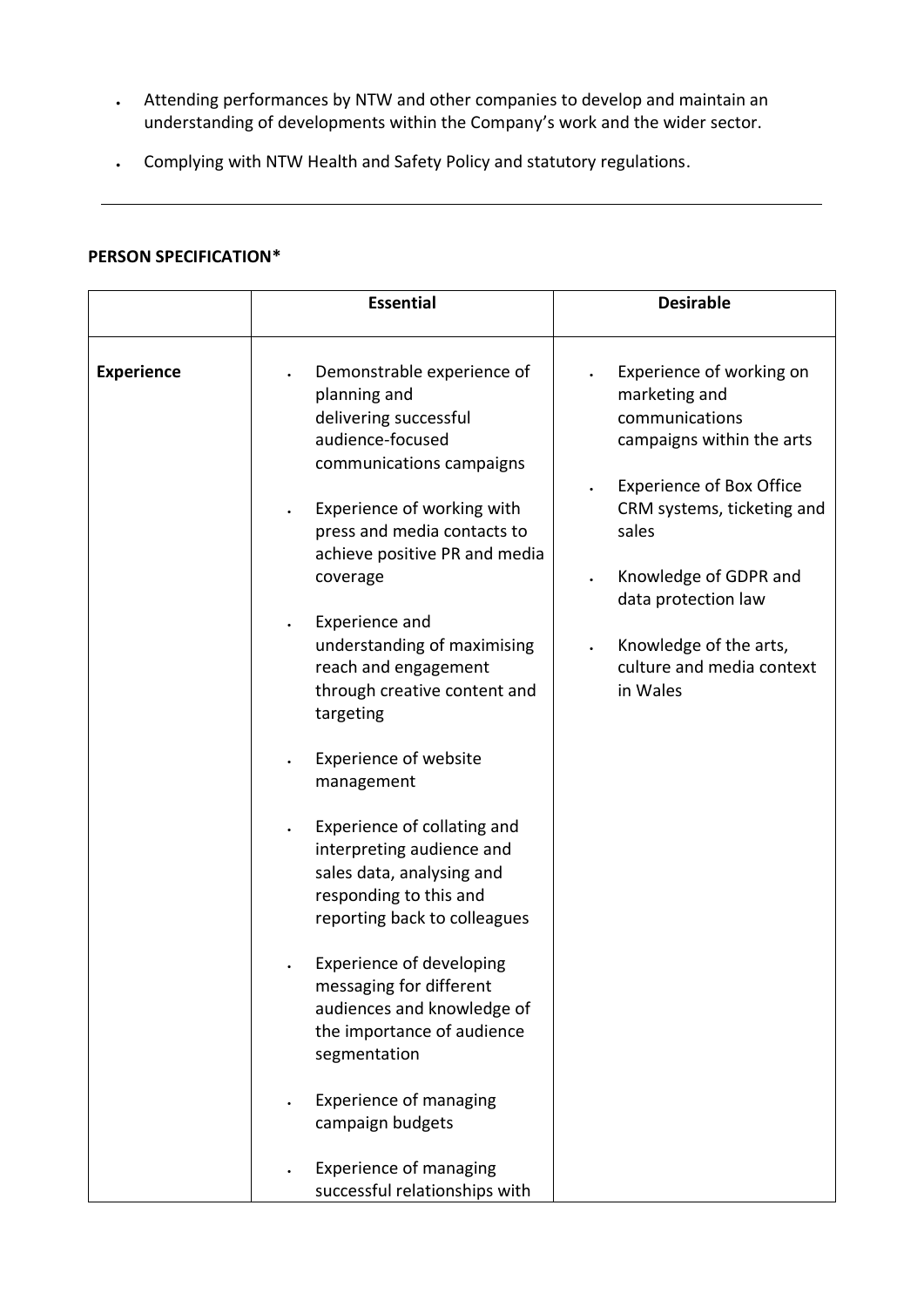- Attending performances by NTW and other companies to develop and maintain an understanding of developments within the Company's work and the wider sector.
- Complying with NTW Health and Safety Policy and statutory regulations.

# **PERSON SPECIFICATION\***

|                   | <b>Essential</b>                                                                                                                                                                                                                                                                                                                                                                                                                                                                                                                                                                                                                                                                                                                                    | <b>Desirable</b>                                                                                                                                                                                                                                                                      |
|-------------------|-----------------------------------------------------------------------------------------------------------------------------------------------------------------------------------------------------------------------------------------------------------------------------------------------------------------------------------------------------------------------------------------------------------------------------------------------------------------------------------------------------------------------------------------------------------------------------------------------------------------------------------------------------------------------------------------------------------------------------------------------------|---------------------------------------------------------------------------------------------------------------------------------------------------------------------------------------------------------------------------------------------------------------------------------------|
| <b>Experience</b> | Demonstrable experience of<br>planning and<br>delivering successful<br>audience-focused<br>communications campaigns<br>Experience of working with<br>press and media contacts to<br>achieve positive PR and media<br>coverage<br>Experience and<br>understanding of maximising<br>reach and engagement<br>through creative content and<br>targeting<br><b>Experience of website</b><br>management<br>Experience of collating and<br>interpreting audience and<br>sales data, analysing and<br>responding to this and<br>reporting back to colleagues<br><b>Experience of developing</b><br>messaging for different<br>audiences and knowledge of<br>the importance of audience<br>segmentation<br><b>Experience of managing</b><br>campaign budgets | Experience of working on<br>marketing and<br>communications<br>campaigns within the arts<br><b>Experience of Box Office</b><br>CRM systems, ticketing and<br>sales<br>Knowledge of GDPR and<br>data protection law<br>Knowledge of the arts,<br>culture and media context<br>in Wales |
|                   | <b>Experience of managing</b><br>successful relationships with                                                                                                                                                                                                                                                                                                                                                                                                                                                                                                                                                                                                                                                                                      |                                                                                                                                                                                                                                                                                       |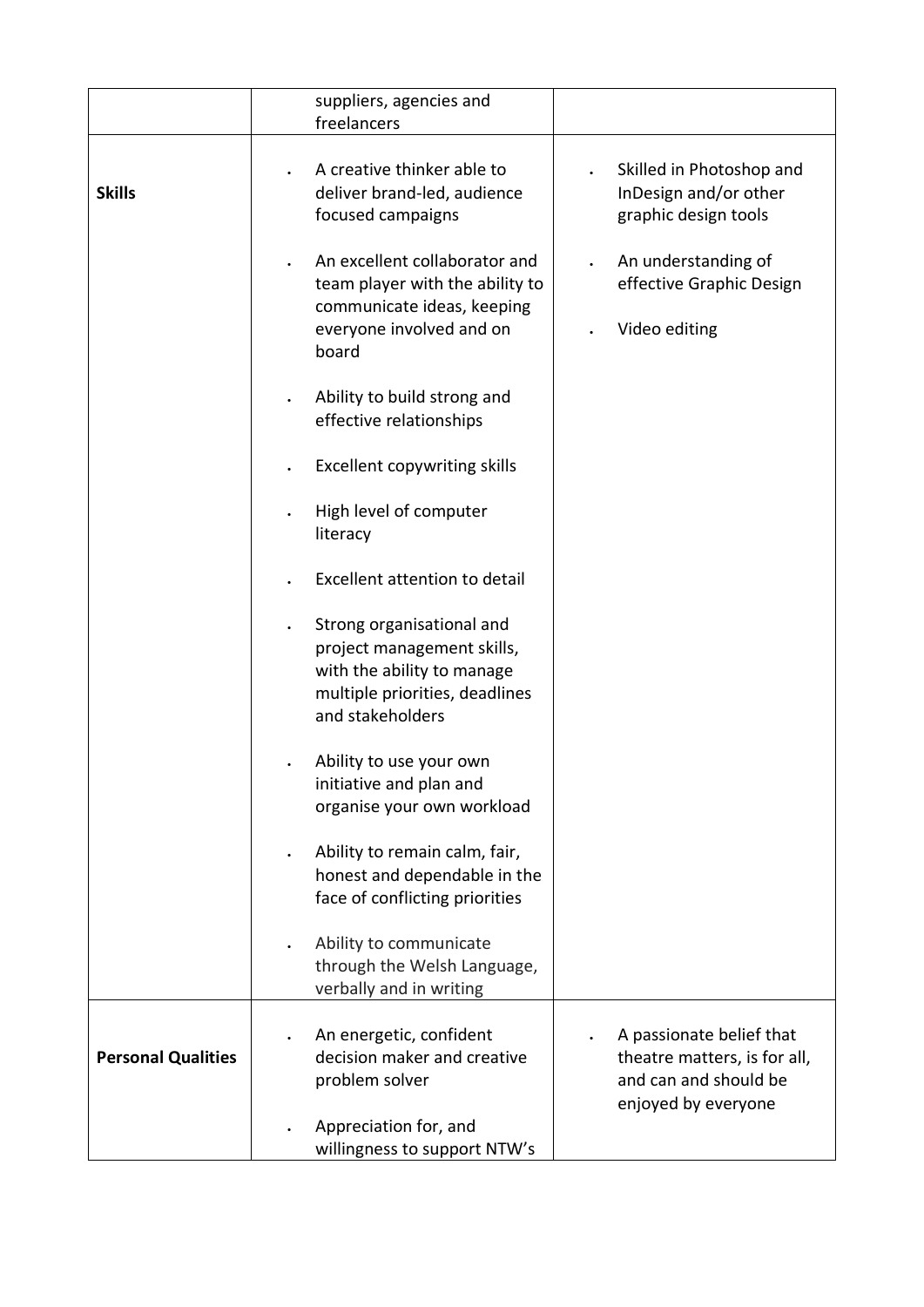|                           | suppliers, agencies and                                                                                                                     |                                                                                                          |
|---------------------------|---------------------------------------------------------------------------------------------------------------------------------------------|----------------------------------------------------------------------------------------------------------|
|                           | freelancers                                                                                                                                 |                                                                                                          |
| <b>Skills</b>             | A creative thinker able to<br>deliver brand-led, audience<br>focused campaigns                                                              | Skilled in Photoshop and<br>InDesign and/or other<br>graphic design tools                                |
|                           | An excellent collaborator and<br>team player with the ability to<br>communicate ideas, keeping<br>everyone involved and on<br>board         | An understanding of<br>effective Graphic Design<br>Video editing                                         |
|                           | Ability to build strong and<br>effective relationships                                                                                      |                                                                                                          |
|                           | <b>Excellent copywriting skills</b>                                                                                                         |                                                                                                          |
|                           | High level of computer<br>literacy                                                                                                          |                                                                                                          |
|                           | Excellent attention to detail                                                                                                               |                                                                                                          |
|                           | Strong organisational and<br>project management skills,<br>with the ability to manage<br>multiple priorities, deadlines<br>and stakeholders |                                                                                                          |
|                           | Ability to use your own<br>initiative and plan and<br>organise your own workload                                                            |                                                                                                          |
|                           | Ability to remain calm, fair,<br>honest and dependable in the<br>face of conflicting priorities                                             |                                                                                                          |
|                           | Ability to communicate<br>through the Welsh Language,<br>verbally and in writing                                                            |                                                                                                          |
| <b>Personal Qualities</b> | An energetic, confident<br>decision maker and creative<br>problem solver                                                                    | A passionate belief that<br>theatre matters, is for all,<br>and can and should be<br>enjoyed by everyone |
|                           | Appreciation for, and<br>willingness to support NTW's                                                                                       |                                                                                                          |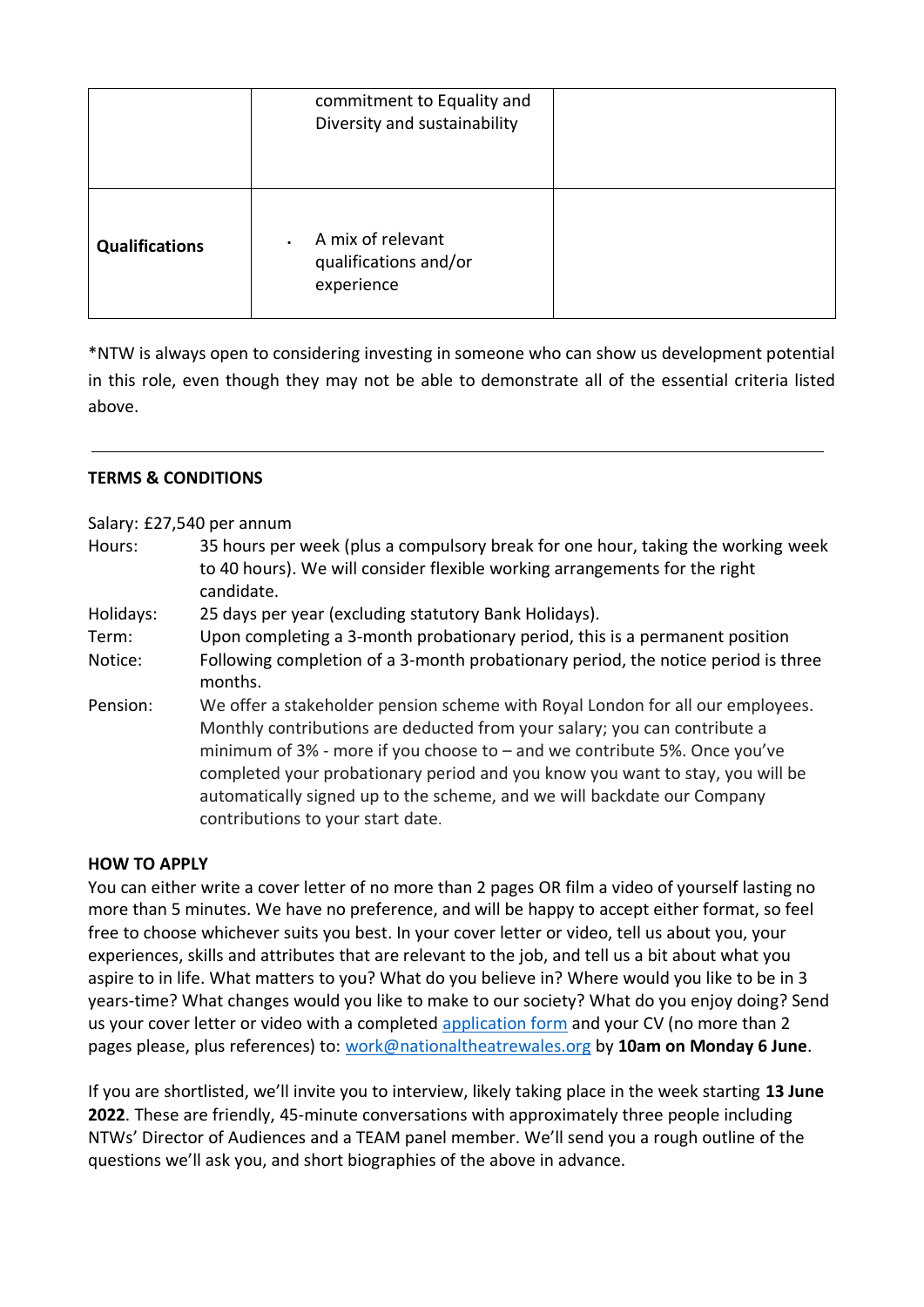|                       | commitment to Equality and<br>Diversity and sustainability |  |
|-----------------------|------------------------------------------------------------|--|
| <b>Qualifications</b> | A mix of relevant<br>qualifications and/or<br>experience   |  |

\*NTW is always open to considering investing in someone who can show us development potential in this role, even though they may not be able to demonstrate all of the essential criteria listed above.

### **TERMS & CONDITIONS**

Salary: £27,540 per annum

- Hours: 35 hours per week (plus a compulsory break for one hour, taking the working week to 40 hours). We will consider flexible working arrangements for the right candidate.
- Holidays: 25 days per year (excluding statutory Bank Holidays).
- Term: Upon completing a 3-month probationary period, this is a permanent position Notice: Following completion of a 3-month probationary period, the notice period is three months.
- Pension: We offer a stakeholder pension scheme with Royal London for all our employees. Monthly contributions are deducted from your salary; you can contribute a minimum of  $3\%$  - more if you choose to  $-$  and we contribute 5%. Once you've completed your probationary period and you know you want to stay, you will be automatically signed up to the scheme, and we will backdate our Company contributions to your start date.

### **HOW TO APPLY**

You can either write a cover letter of no more than 2 pages OR film a video of yourself lasting no more than 5 minutes. We have no preference, and will be happy to accept either format, so feel free to choose whichever suits you best. In your cover letter or video, tell us about you, your experiences, skills and attributes that are relevant to the job, and tell us a bit about what you aspire to in life. What matters to you? What do you believe in? Where would you like to be in 3 years-time? What changes would you like to make to our society? What do you enjoy doing? Send us your cover letter or video with a completed [application form](https://www.nationaltheatrewales.org/wp-content/uploads/2021/10/NTW-Application-Form-Oct-2021.docx) and your CV (no more than 2 pages please, plus references) to: [work@nationaltheatrewales.org](mailto:work@nationaltheatrewales.org) by **10am on Monday 6 June**.

If you are shortlisted, we'll invite you to interview, likely taking place in the week starting **13 June 2022**. These are friendly, 45-minute conversations with approximately three people including NTWs' Director of Audiences and a TEAM panel member. We'll send you a rough outline of the questions we'll ask you, and short biographies of the above in advance.